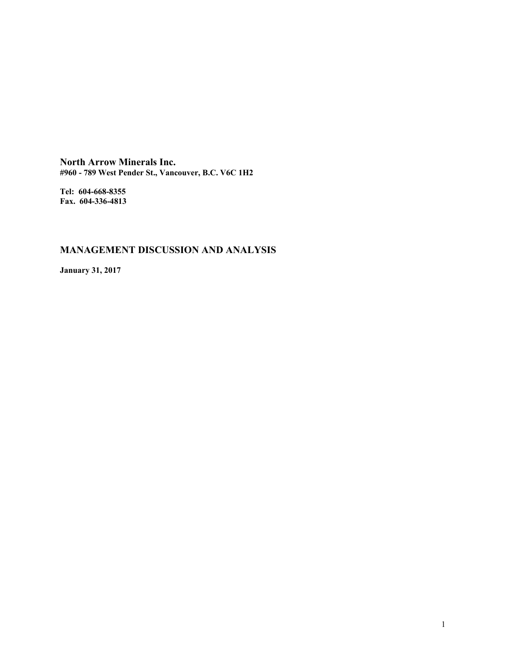**North Arrow Minerals Inc. #960 - 789 West Pender St., Vancouver, B.C. V6C 1H2**

**Tel: 604-668-8355 Fax. 604-336-4813**

# **MANAGEMENT DISCUSSION AND ANALYSIS**

**January 31, 2017**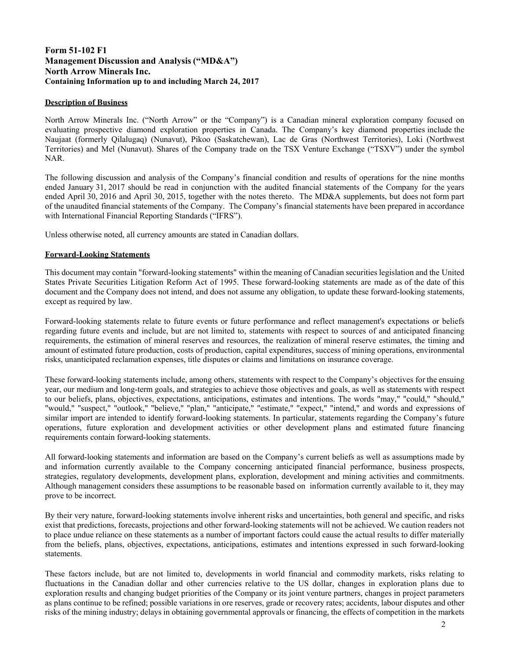# **Form 51-102 F1 Management Discussion and Analysis ("MD&A") North Arrow Minerals Inc. Containing Information up to and including March 24, 2017**

# **Description of Business**

North Arrow Minerals Inc. ("North Arrow" or the "Company") is a Canadian mineral exploration company focused on evaluating prospective diamond exploration properties in Canada. The Company's key diamond properties include the Naujaat (formerly Qilalugaq) (Nunavut), Pikoo (Saskatchewan), Lac de Gras (Northwest Territories), Loki (Northwest Territories) and Mel (Nunavut). Shares of the Company trade on the TSX Venture Exchange ("TSXV") under the symbol NAR.

The following discussion and analysis of the Company's financial condition and results of operations for the nine months ended January 31, 2017 should be read in conjunction with the audited financial statements of the Company for the years ended April 30, 2016 and April 30, 2015, together with the notes thereto. The MD&A supplements, but does not form part of the unaudited financial statements of the Company. The Company's financial statements have been prepared in accordance with International Financial Reporting Standards ("IFRS").

Unless otherwise noted, all currency amounts are stated in Canadian dollars.

# **Forward-Looking Statements**

This document may contain "forward-looking statements" within the meaning of Canadian securities legislation and the United States Private Securities Litigation Reform Act of 1995. These forward-looking statements are made as of the date of this document and the Company does not intend, and does not assume any obligation, to update these forward-looking statements, except as required by law.

Forward-looking statements relate to future events or future performance and reflect management's expectations or beliefs regarding future events and include, but are not limited to, statements with respect to sources of and anticipated financing requirements, the estimation of mineral reserves and resources, the realization of mineral reserve estimates, the timing and amount of estimated future production, costs of production, capital expenditures, success of mining operations, environmental risks, unanticipated reclamation expenses, title disputes or claims and limitations on insurance coverage.

These forward-looking statements include, among others, statements with respect to the Company's objectives for the ensuing year, our medium and long-term goals, and strategies to achieve those objectives and goals, as well as statements with respect to our beliefs, plans, objectives, expectations, anticipations, estimates and intentions. The words "may," "could," "should," "would," "suspect," "outlook," "believe," "plan," "anticipate," "estimate," "expect," "intend," and words and expressions of similar import are intended to identify forward-looking statements. In particular, statements regarding the Company's future operations, future exploration and development activities or other development plans and estimated future financing requirements contain forward-looking statements.

All forward-looking statements and information are based on the Company's current beliefs as well as assumptions made by and information currently available to the Company concerning anticipated financial performance, business prospects, strategies, regulatory developments, development plans, exploration, development and mining activities and commitments. Although management considers these assumptions to be reasonable based on information currently available to it, they may prove to be incorrect.

By their very nature, forward-looking statements involve inherent risks and uncertainties, both general and specific, and risks exist that predictions, forecasts, projections and other forward-looking statements will not be achieved. We caution readers not to place undue reliance on these statements as a number of important factors could cause the actual results to differ materially from the beliefs, plans, objectives, expectations, anticipations, estimates and intentions expressed in such forward-looking statements.

These factors include, but are not limited to, developments in world financial and commodity markets, risks relating to fluctuations in the Canadian dollar and other currencies relative to the US dollar, changes in exploration plans due to exploration results and changing budget priorities of the Company or its joint venture partners, changes in project parameters as plans continue to be refined; possible variations in ore reserves, grade or recovery rates; accidents, labour disputes and other risks of the mining industry; delays in obtaining governmental approvals or financing, the effects of competition in the markets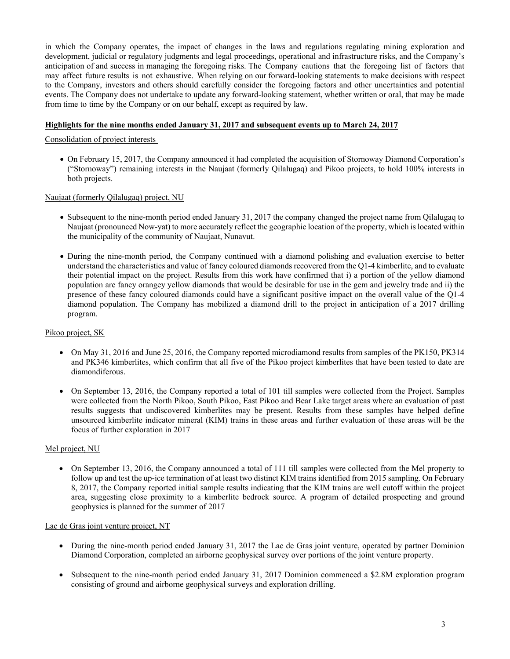in which the Company operates, the impact of changes in the laws and regulations regulating mining exploration and development, judicial or regulatory judgments and legal proceedings, operational and infrastructure risks, and the Company's anticipation of and success in managing the foregoing risks. The Company cautions that the foregoing list of factors that may affect future results is not exhaustive. When relying on our forward-looking statements to make decisions with respect to the Company, investors and others should carefully consider the foregoing factors and other uncertainties and potential events. The Company does not undertake to update any forward-looking statement, whether written or oral, that may be made from time to time by the Company or on our behalf, except as required by law.

## **Highlights for the nine months ended January 31, 2017 and subsequent events up to March 24, 201**

Consolidation of project interests

 On February 15, 2017, the Company announced it had completed the acquisition of Stornoway Diamond Corporation's ("Stornoway") remaining interests in the Naujaat (formerly Qilalugaq) and Pikoo projects, to hold 100% interests in both projects.

Naujaat (formerly Qilalugaq) project, NU

- Subsequent to the nine-month period ended January 31, 2017 the company changed the project name from Qilalugaq to Naujaat (pronounced Now-yat) to more accurately reflect the geographic location of the property, which is located within the municipality of the community of Naujaat, Nunavut.
- During the nine-month period, the Company continued with a diamond polishing and evaluation exercise to better understand the characteristics and value of fancy coloured diamonds recovered from the Q1-4 kimberlite, and to evaluate their potential impact on the project. Results from this work have confirmed that i) a portion of the yellow diamond population are fancy orangey yellow diamonds that would be desirable for use in the gem and jewelry trade and ii) the presence of these fancy coloured diamonds could have a significant positive impact on the overall value of the Q1-4 diamond population. The Company has mobilized a diamond drill to the project in anticipation of a 2017 drilling program.

### Pikoo project, SK

- On May 31, 2016 and June 25, 2016, the Company reported microdiamond results from samples of the PK150, PK314 and PK346 kimberlites, which confirm that all five of the Pikoo project kimberlites that have been tested to date are diamondiferous.
- On September 13, 2016, the Company reported a total of 101 till samples were collected from the Project. Samples were collected from the North Pikoo, South Pikoo, East Pikoo and Bear Lake target areas where an evaluation of past results suggests that undiscovered kimberlites may be present. Results from these samples have helped define unsourced kimberlite indicator mineral (KIM) trains in these areas and further evaluation of these areas will be the focus of further exploration in 2017

#### Mel project, NU

 On September 13, 2016, the Company announced a total of 111 till samples were collected from the Mel property to follow up and test the up-ice termination of at least two distinct KIM trains identified from 2015 sampling. On February 8, 2017, the Company reported initial sample results indicating that the KIM trains are well cutoff within the project area, suggesting close proximity to a kimberlite bedrock source. A program of detailed prospecting and ground geophysics is planned for the summer of 2017

### Lac de Gras joint venture project, NT

- During the nine-month period ended January 31, 2017 the Lac de Gras joint venture, operated by partner Dominion Diamond Corporation, completed an airborne geophysical survey over portions of the joint venture property.
- Subsequent to the nine-month period ended January 31, 2017 Dominion commenced a \$2.8M exploration program consisting of ground and airborne geophysical surveys and exploration drilling.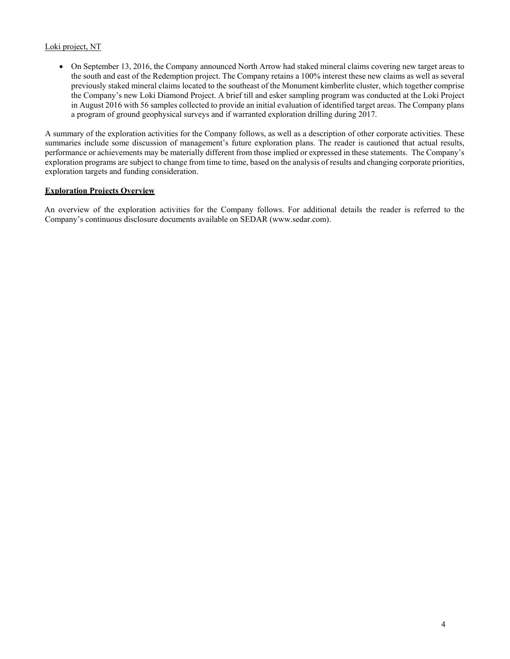# Loki project, NT

 On September 13, 2016, the Company announced North Arrow had staked mineral claims covering new target areas to the south and east of the Redemption project. The Company retains a 100% interest these new claims as well as several previously staked mineral claims located to the southeast of the Monument kimberlite cluster, which together comprise the Company's new Loki Diamond Project. A brief till and esker sampling program was conducted at the Loki Project in August 2016 with 56 samples collected to provide an initial evaluation of identified target areas. The Company plans a program of ground geophysical surveys and if warranted exploration drilling during 2017.

A summary of the exploration activities for the Company follows, as well as a description of other corporate activities. These summaries include some discussion of management's future exploration plans. The reader is cautioned that actual results, performance or achievements may be materially different from those implied or expressed in these statements. The Company's exploration programs are subject to change from time to time, based on the analysis of results and changing corporate priorities, exploration targets and funding consideration.

# **Exploration Projects Overview**

An overview of the exploration activities for the Company follows. For additional details the reader is referred to the Company's continuous disclosure documents available on SEDAR (www.sedar.com).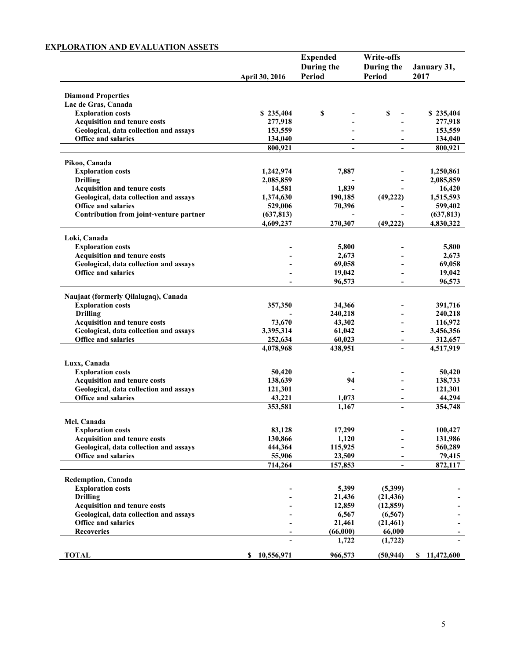# **EXPLORATION AND EVALUATION ASSETS**

|                                                                               |                     | <b>Expended</b>          | <b>Write-offs</b>        |                    |
|-------------------------------------------------------------------------------|---------------------|--------------------------|--------------------------|--------------------|
|                                                                               |                     | During the               | During the               | January 31,        |
|                                                                               | April 30, 2016      | <b>Period</b>            | Period                   | 2017               |
|                                                                               |                     |                          |                          |                    |
| <b>Diamond Properties</b><br>Lac de Gras, Canada                              |                     |                          |                          |                    |
| <b>Exploration costs</b>                                                      | \$235,404           | \$                       | \$<br>$\blacksquare$     | \$235,404          |
| <b>Acquisition and tenure costs</b>                                           | 277,918             |                          |                          | 277,918            |
| Geological, data collection and assays                                        | 153,559             |                          |                          | 153,559            |
| Office and salaries                                                           | 134,040             | $\overline{\phantom{a}}$ | $\overline{\phantom{a}}$ | 134,040            |
|                                                                               | 800,921             | $\blacksquare$           |                          | 800,921            |
| Pikoo, Canada                                                                 |                     |                          |                          |                    |
| <b>Exploration costs</b>                                                      | 1,242,974           | 7,887                    |                          | 1,250,861          |
| <b>Drilling</b>                                                               | 2,085,859           |                          |                          | 2,085,859          |
| <b>Acquisition and tenure costs</b>                                           | 14,581              | 1,839                    |                          | 16,420             |
| Geological, data collection and assays                                        | 1,374,630           | 190,185                  | (49, 222)                | 1,515,593          |
| <b>Office and salaries</b>                                                    | 529,006             | 70,396                   |                          | 599,402            |
| Contribution from joint-venture partner                                       | (637, 813)          | $\blacksquare$           |                          | (637, 813)         |
|                                                                               | 4,609,237           | 270,307                  | (49, 222)                | 4,830,322          |
| Loki, Canada                                                                  |                     |                          |                          |                    |
| <b>Exploration costs</b>                                                      |                     | 5,800                    |                          | 5,800              |
| <b>Acquisition and tenure costs</b>                                           |                     | 2,673                    |                          | 2,673              |
| Geological, data collection and assays                                        |                     | 69,058                   |                          | 69,058             |
| <b>Office and salaries</b>                                                    |                     | 19,042                   |                          | 19,042             |
|                                                                               | $\overline{a}$      | 96,573                   | $\blacksquare$           | 96,573             |
|                                                                               |                     |                          |                          |                    |
| Naujaat (formerly Qilalugaq), Canada                                          |                     |                          |                          |                    |
| <b>Exploration costs</b><br><b>Drilling</b>                                   | 357,350             | 34,366                   |                          | 391,716<br>240,218 |
| <b>Acquisition and tenure costs</b>                                           |                     | 240,218                  |                          | 116,972            |
| Geological, data collection and assays                                        | 73,670<br>3,395,314 | 43,302<br>61,042         |                          | 3,456,356          |
| <b>Office and salaries</b>                                                    | 252,634             | 60,023                   | -                        | 312,657            |
|                                                                               | 4,078,968           | 438,951                  | $\overline{\phantom{a}}$ | 4,517,919          |
|                                                                               |                     |                          |                          |                    |
| Luxx, Canada                                                                  |                     |                          |                          |                    |
| <b>Exploration costs</b>                                                      | 50,420              |                          |                          | 50,420             |
| <b>Acquisition and tenure costs</b><br>Geological, data collection and assays | 138,639<br>121,301  | 94                       | $\overline{\phantom{0}}$ | 138,733<br>121,301 |
| Office and salaries                                                           | 43,221              | 1,073                    |                          | 44,294             |
|                                                                               | 353,581             | 1,167                    | -                        | 354,748            |
|                                                                               |                     |                          |                          |                    |
| Mel, Canada<br><b>Exploration costs</b>                                       | 83,128              | 17,299                   |                          | 100,427            |
| <b>Acquisition and tenure costs</b>                                           | 130,866             | 1,120                    |                          | 131,986            |
| Geological, data collection and assays                                        | 444,364             | 115,925                  |                          | 560,289            |
| <b>Office and salaries</b>                                                    | 55,906              | 23,509                   |                          | 79,415             |
|                                                                               | 714,264             | 157,853                  |                          | 872,117            |
|                                                                               |                     |                          |                          |                    |
| <b>Redemption, Canada</b>                                                     |                     |                          |                          |                    |
| <b>Exploration costs</b>                                                      |                     | 5,399                    | (5,399)                  |                    |
| <b>Drilling</b><br><b>Acquisition and tenure costs</b>                        |                     | 21,436<br>12,859         | (21, 436)<br>(12, 859)   |                    |
| Geological, data collection and assays                                        |                     | 6,567                    | (6, 567)                 |                    |
| Office and salaries                                                           |                     | 21,461                   | (21, 461)                |                    |
| <b>Recoveries</b>                                                             |                     | (66,000)                 | 66,000                   |                    |
|                                                                               |                     | 1,722                    | (1, 722)                 |                    |
| <b>TOTAL</b>                                                                  | \$10,556,971        | 966,573                  | (50, 944)                | \$11,472,600       |
|                                                                               |                     |                          |                          |                    |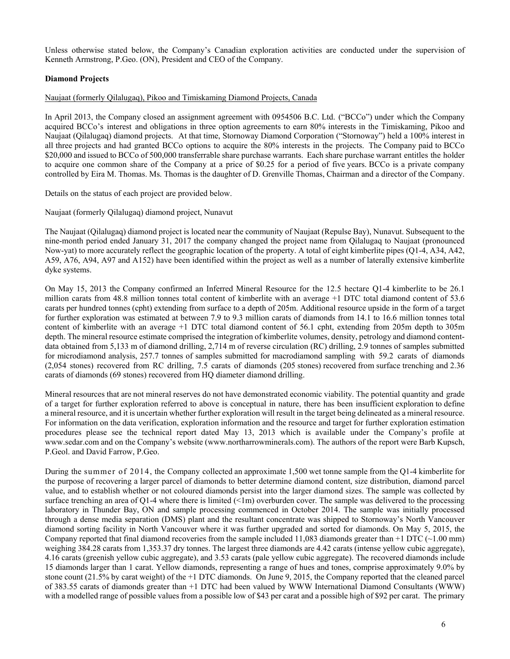Unless otherwise stated below, the Company's Canadian exploration activities are conducted under the supervision of Kenneth Armstrong, P.Geo. (ON), President and CEO of the Company.

# **Diamond Projects**

### Naujaat (formerly Qilalugaq), Pikoo and Timiskaming Diamond Projects, Canada

In April 2013, the Company closed an assignment agreement with 0954506 B.C. Ltd. ("BCCo") under which the Company acquired BCCo's interest and obligations in three option agreements to earn 80% interests in the Timiskaming, Pikoo and Naujaat (Qilalugaq) diamond projects. At that time, Stornoway Diamond Corporation ("Stornoway") held a 100% interest in all three projects and had granted BCCo options to acquire the 80% interests in the projects. The Company paid to BCCo \$20,000 and issued to BCCo of 500,000 transferrable share purchase warrants. Each share purchase warrant entitles the holder to acquire one common share of the Company at a price of \$0.25 for a period of five years. BCCo is a private company controlled by Eira M. Thomas. Ms. Thomas is the daughter of D. Grenville Thomas, Chairman and a director of the Company.

Details on the status of each project are provided below.

Naujaat (formerly Qilalugaq) diamond project, Nunavut

The Naujaat (Qilalugaq) diamond project is located near the community of Naujaat (Repulse Bay), Nunavut. Subsequent to the nine-month period ended January 31, 2017 the company changed the project name from Qilalugaq to Naujaat (pronounced Now-yat) to more accurately reflect the geographic location of the property. A total of eight kimberlite pipes (Q1-4, A34, A42, A59, A76, A94, A97 and A152) have been identified within the project as well as a number of laterally extensive kimberlite dyke systems.

On May 15, 2013 the Company confirmed an Inferred Mineral Resource for the 12.5 hectare Q1-4 kimberlite to be 26.1 million carats from 48.8 million tonnes total content of kimberlite with an average +1 DTC total diamond content of 53.6 carats per hundred tonnes (cpht) extending from surface to a depth of 205m. Additional resource upside in the form of a target for further exploration was estimated at between 7.9 to 9.3 million carats of diamonds from 14.1 to 16.6 million tonnes total content of kimberlite with an average +1 DTC total diamond content of 56.1 cpht, extending from 205m depth to 305m depth. The mineral resource estimate comprised the integration of kimberlite volumes, density, petrology and diamond contentdata obtained from 5,133 m of diamond drilling, 2,714 m of reverse circulation (RC) drilling, 2.9 tonnes of samples submitted for microdiamond analysis, 257.7 tonnes of samples submitted for macrodiamond sampling with 59.2 carats of diamonds (2,054 stones) recovered from RC drilling, 7.5 carats of diamonds (205 stones) recovered from surface trenching and 2.36 carats of diamonds (69 stones) recovered from HQ diameter diamond drilling.

Mineral resources that are not mineral reserves do not have demonstrated economic viability. The potential quantity and grade of a target for further exploration referred to above is conceptual in nature, there has been insufficient exploration to define a mineral resource, and it is uncertain whether further exploration will result in the target being delineated as a mineral resource. For information on the data verification, exploration information and the resource and target for further exploration estimation procedures please see the technical report dated May 13, 2013 which is available under the Company's profile at www.sedar.com and on the Company's website (www.northarrowminerals.com). The authors of the report were Barb Kupsch, P.Geol. and David Farrow, P.Geo.

During the summer of 2014, the Company collected an approximate 1,500 wet tonne sample from the Q1-4 kimberlite for the purpose of recovering a larger parcel of diamonds to better determine diamond content, size distribution, diamond parcel value, and to establish whether or not coloured diamonds persist into the larger diamond sizes. The sample was collected by surface trenching an area of Q1-4 where there is limited  $(51)$  overburden cover. The sample was delivered to the processing laboratory in Thunder Bay, ON and sample processing commenced in October 2014. The sample was initially processed through a dense media separation (DMS) plant and the resultant concentrate was shipped to Stornoway's North Vancouver diamond sorting facility in North Vancouver where it was further upgraded and sorted for diamonds. On May 5, 2015, the Company reported that final diamond recoveries from the sample included 11,083 diamonds greater than  $+1$  DTC ( $\sim$ 1.00 mm) weighing 384.28 carats from 1,353.37 dry tonnes. The largest three diamonds are 4.42 carats (intense yellow cubic aggregate), 4.16 carats (greenish yellow cubic aggregate), and 3.53 carats (pale yellow cubic aggregate). The recovered diamonds include 15 diamonds larger than 1 carat. Yellow diamonds, representing a range of hues and tones, comprise approximately 9.0% by stone count (21.5% by carat weight) of the +1 DTC diamonds. On June 9, 2015, the Company reported that the cleaned parcel of 383.55 carats of diamonds greater than +1 DTC had been valued by WWW International Diamond Consultants (WWW) with a modelled range of possible values from a possible low of \$43 per carat and a possible high of \$92 per carat. The primary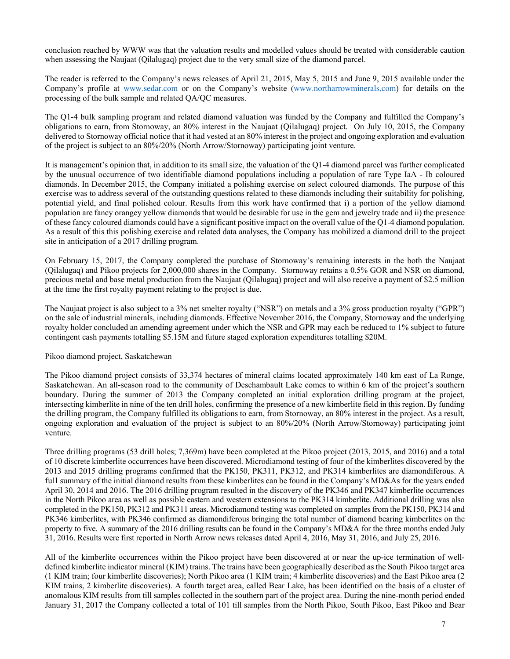conclusion reached by WWW was that the valuation results and modelled values should be treated with considerable caution when assessing the Naujaat (Qilalugaq) project due to the very small size of the diamond parcel.

The reader is referred to the Company's news releases of April 21, 2015, May 5, 2015 and June 9, 2015 available under the Company's profile at www.sedar.com or on the Company's website (www.northarrowminerals,com) for details on the processing of the bulk sample and related QA/QC measures.

The Q1-4 bulk sampling program and related diamond valuation was funded by the Company and fulfilled the Company's obligations to earn, from Stornoway, an 80% interest in the Naujaat (Qilalugaq) project. On July 10, 2015, the Company delivered to Stornoway official notice that it had vested at an 80% interest in the project and ongoing exploration and evaluation of the project is subject to an 80%/20% (North Arrow/Stornoway) participating joint venture.

It is management's opinion that, in addition to its small size, the valuation of the Q1-4 diamond parcel was further complicated by the unusual occurrence of two identifiable diamond populations including a population of rare Type IaA - Ib coloured diamonds. In December 2015, the Company initiated a polishing exercise on select coloured diamonds. The purpose of this exercise was to address several of the outstanding questions related to these diamonds including their suitability for polishing, potential yield, and final polished colour. Results from this work have confirmed that i) a portion of the yellow diamond population are fancy orangey yellow diamonds that would be desirable for use in the gem and jewelry trade and ii) the presence of these fancy coloured diamonds could have a significant positive impact on the overall value of the Q1-4 diamond population. As a result of this this polishing exercise and related data analyses, the Company has mobilized a diamond drill to the project site in anticipation of a 2017 drilling program.

On February 15, 2017, the Company completed the purchase of Stornoway's remaining interests in the both the Naujaat (Qilalugaq) and Pikoo projects for 2,000,000 shares in the Company. Stornoway retains a 0.5% GOR and NSR on diamond, precious metal and base metal production from the Naujaat (Qilalugaq) project and will also receive a payment of \$2.5 million at the time the first royalty payment relating to the project is due.

The Naujaat project is also subject to a 3% net smelter royalty ("NSR") on metals and a 3% gross production royalty ("GPR") on the sale of industrial minerals, including diamonds. Effective November 2016, the Company, Stornoway and the underlying royalty holder concluded an amending agreement under which the NSR and GPR may each be reduced to 1% subject to future contingent cash payments totalling \$5.15M and future staged exploration expenditures totalling \$20M.

# Pikoo diamond project, Saskatchewan

The Pikoo diamond project consists of 33,374 hectares of mineral claims located approximately 140 km east of La Ronge, Saskatchewan. An all-season road to the community of Deschambault Lake comes to within 6 km of the project's southern boundary. During the summer of 2013 the Company completed an initial exploration drilling program at the project, intersecting kimberlite in nine of the ten drill holes, confirming the presence of a new kimberlite field in this region. By funding the drilling program, the Company fulfilled its obligations to earn, from Stornoway, an 80% interest in the project. As a result, ongoing exploration and evaluation of the project is subject to an 80%/20% (North Arrow/Stornoway) participating joint venture.

Three drilling programs (53 drill holes; 7,369m) have been completed at the Pikoo project (2013, 2015, and 2016) and a total of 10 discrete kimberlite occurrences have been discovered. Microdiamond testing of four of the kimberlites discovered by the 2013 and 2015 drilling programs confirmed that the PK150, PK311, PK312, and PK314 kimberlites are diamondiferous. A full summary of the initial diamond results from these kimberlites can be found in the Company's MD&As for the years ended April 30, 2014 and 2016. The 2016 drilling program resulted in the discovery of the PK346 and PK347 kimberlite occurrences in the North Pikoo area as well as possible eastern and western extensions to the PK314 kimberlite. Additional drilling was also completed in the PK150, PK312 and PK311 areas. Microdiamond testing was completed on samples from the PK150, PK314 and PK346 kimberlites, with PK346 confirmed as diamondiferous bringing the total number of diamond bearing kimberlites on the property to five. A summary of the 2016 drilling results can be found in the Company's MD&A for the three months ended July 31, 2016. Results were first reported in North Arrow news releases dated April 4, 2016, May 31, 2016, and July 25, 2016.

All of the kimberlite occurrences within the Pikoo project have been discovered at or near the up-ice termination of welldefined kimberlite indicator mineral (KIM) trains. The trains have been geographically described as the South Pikoo target area (1 KIM train; four kimberlite discoveries); North Pikoo area (1 KIM train; 4 kimberlite discoveries) and the East Pikoo area (2 KIM trains, 2 kimberlite discoveries). A fourth target area, called Bear Lake, has been identified on the basis of a cluster of anomalous KIM results from till samples collected in the southern part of the project area. During the nine-month period ended January 31, 2017 the Company collected a total of 101 till samples from the North Pikoo, South Pikoo, East Pikoo and Bear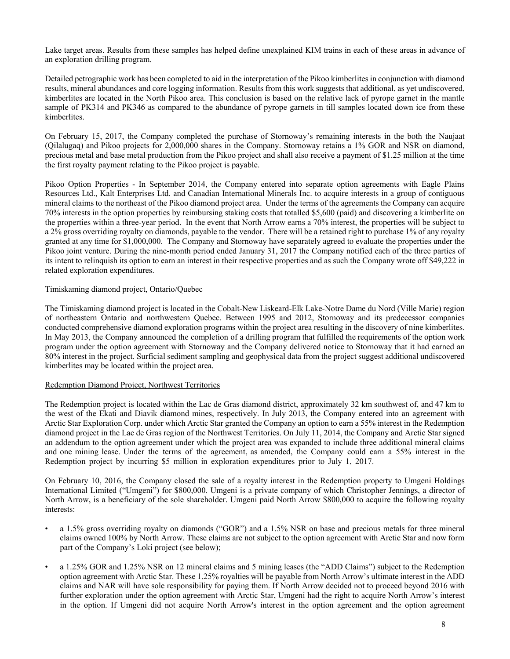Lake target areas. Results from these samples has helped define unexplained KIM trains in each of these areas in advance of an exploration drilling program.

Detailed petrographic work has been completed to aid in the interpretation of the Pikoo kimberlites in conjunction with diamond results, mineral abundances and core logging information. Results from this work suggests that additional, as yet undiscovered, kimberlites are located in the North Pikoo area. This conclusion is based on the relative lack of pyrope garnet in the mantle sample of PK314 and PK346 as compared to the abundance of pyrope garnets in till samples located down ice from these kimberlites.

On February 15, 2017, the Company completed the purchase of Stornoway's remaining interests in the both the Naujaat (Qilalugaq) and Pikoo projects for 2,000,000 shares in the Company. Stornoway retains a 1% GOR and NSR on diamond, precious metal and base metal production from the Pikoo project and shall also receive a payment of \$1.25 million at the time the first royalty payment relating to the Pikoo project is payable.

Pikoo Option Properties - In September 2014, the Company entered into separate option agreements with Eagle Plains Resources Ltd., Kalt Enterprises Ltd. and Canadian International Minerals Inc. to acquire interests in a group of contiguous mineral claims to the northeast of the Pikoo diamond project area. Under the terms of the agreements the Company can acquire 70% interests in the option properties by reimbursing staking costs that totalled \$5,600 (paid) and discovering a kimberlite on the properties within a three-year period. In the event that North Arrow earns a 70% interest, the properties will be subject to a 2% gross overriding royalty on diamonds, payable to the vendor. There will be a retained right to purchase 1% of any royalty granted at any time for \$1,000,000. The Company and Stornoway have separately agreed to evaluate the properties under the Pikoo joint venture. During the nine-month period ended January 31, 2017 the Company notified each of the three parties of its intent to relinquish its option to earn an interest in their respective properties and as such the Company wrote off \$49,222 in related exploration expenditures.

## Timiskaming diamond project, Ontario/Quebec

The Timiskaming diamond project is located in the Cobalt-New Liskeard-Elk Lake-Notre Dame du Nord (Ville Marie) region of northeastern Ontario and northwestern Quebec. Between 1995 and 2012, Stornoway and its predecessor companies conducted comprehensive diamond exploration programs within the project area resulting in the discovery of nine kimberlites. In May 2013, the Company announced the completion of a drilling program that fulfilled the requirements of the option work program under the option agreement with Stornoway and the Company delivered notice to Stornoway that it had earned an 80% interest in the project. Surficial sediment sampling and geophysical data from the project suggest additional undiscovered kimberlites may be located within the project area.

# Redemption Diamond Project, Northwest Territories

The Redemption project is located within the Lac de Gras diamond district, approximately 32 km southwest of, and 47 km to the west of the Ekati and Diavik diamond mines, respectively. In July 2013, the Company entered into an agreement with Arctic Star Exploration Corp. under which Arctic Star granted the Company an option to earn a 55% interest in the Redemption diamond project in the Lac de Gras region of the Northwest Territories. On July 11, 2014, the Company and Arctic Star signed an addendum to the option agreement under which the project area was expanded to include three additional mineral claims and one mining lease. Under the terms of the agreement, as amended, the Company could earn a 55% interest in the Redemption project by incurring \$5 million in exploration expenditures prior to July 1, 2017.

On February 10, 2016, the Company closed the sale of a royalty interest in the Redemption property to Umgeni Holdings International Limited ("Umgeni") for \$800,000. Umgeni is a private company of which Christopher Jennings, a director of North Arrow, is a beneficiary of the sole shareholder. Umgeni paid North Arrow \$800,000 to acquire the following royalty interests:

- a 1.5% gross overriding royalty on diamonds ("GOR") and a 1.5% NSR on base and precious metals for three mineral claims owned 100% by North Arrow. These claims are not subject to the option agreement with Arctic Star and now form part of the Company's Loki project (see below);
- a 1.25% GOR and 1.25% NSR on 12 mineral claims and 5 mining leases (the "ADD Claims") subject to the Redemption option agreement with Arctic Star. These 1.25% royalties will be payable from North Arrow's ultimate interest in the ADD claims and NAR will have sole responsibility for paying them. If North Arrow decided not to proceed beyond 2016 with further exploration under the option agreement with Arctic Star, Umgeni had the right to acquire North Arrow's interest in the option. If Umgeni did not acquire North Arrow's interest in the option agreement and the option agreement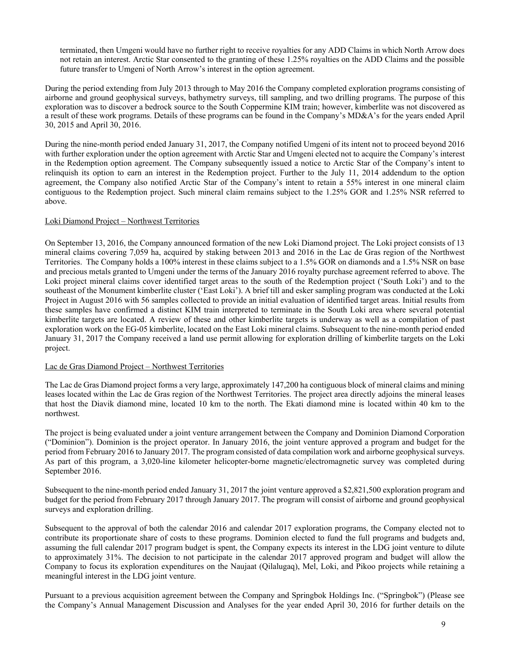terminated, then Umgeni would have no further right to receive royalties for any ADD Claims in which North Arrow does not retain an interest. Arctic Star consented to the granting of these 1.25% royalties on the ADD Claims and the possible future transfer to Umgeni of North Arrow's interest in the option agreement.

During the period extending from July 2013 through to May 2016 the Company completed exploration programs consisting of airborne and ground geophysical surveys, bathymetry surveys, till sampling, and two drilling programs. The purpose of this exploration was to discover a bedrock source to the South Coppermine KIM train; however, kimberlite was not discovered as a result of these work programs. Details of these programs can be found in the Company's MD&A's for the years ended April 30, 2015 and April 30, 2016.

During the nine-month period ended January 31, 2017, the Company notified Umgeni of its intent not to proceed beyond 2016 with further exploration under the option agreement with Arctic Star and Umgeni elected not to acquire the Company's interest in the Redemption option agreement. The Company subsequently issued a notice to Arctic Star of the Company's intent to relinquish its option to earn an interest in the Redemption project. Further to the July 11, 2014 addendum to the option agreement, the Company also notified Arctic Star of the Company's intent to retain a 55% interest in one mineral claim contiguous to the Redemption project. Such mineral claim remains subject to the 1.25% GOR and 1.25% NSR referred to above.

## Loki Diamond Project – Northwest Territories

On September 13, 2016, the Company announced formation of the new Loki Diamond project. The Loki project consists of 13 mineral claims covering 7,059 ha, acquired by staking between 2013 and 2016 in the Lac de Gras region of the Northwest Territories. The Company holds a 100% interest in these claims subject to a 1.5% GOR on diamonds and a 1.5% NSR on base and precious metals granted to Umgeni under the terms of the January 2016 royalty purchase agreement referred to above. The Loki project mineral claims cover identified target areas to the south of the Redemption project ('South Loki') and to the southeast of the Monument kimberlite cluster ('East Loki'). A brief till and esker sampling program was conducted at the Loki Project in August 2016 with 56 samples collected to provide an initial evaluation of identified target areas. Initial results from these samples have confirmed a distinct KIM train interpreted to terminate in the South Loki area where several potential kimberlite targets are located. A review of these and other kimberlite targets is underway as well as a compilation of past exploration work on the EG-05 kimberlite, located on the East Loki mineral claims. Subsequent to the nine-month period ended January 31, 2017 the Company received a land use permit allowing for exploration drilling of kimberlite targets on the Loki project.

#### Lac de Gras Diamond Project – Northwest Territories

The Lac de Gras Diamond project forms a very large, approximately 147,200 ha contiguous block of mineral claims and mining leases located within the Lac de Gras region of the Northwest Territories. The project area directly adjoins the mineral leases that host the Diavik diamond mine, located 10 km to the north. The Ekati diamond mine is located within 40 km to the northwest.

The project is being evaluated under a joint venture arrangement between the Company and Dominion Diamond Corporation ("Dominion"). Dominion is the project operator. In January 2016, the joint venture approved a program and budget for the period from February 2016 to January 2017. The program consisted of data compilation work and airborne geophysical surveys. As part of this program, a 3,020-line kilometer helicopter-borne magnetic/electromagnetic survey was completed during September 2016.

Subsequent to the nine-month period ended January 31, 2017 the joint venture approved a \$2,821,500 exploration program and budget for the period from February 2017 through January 2017. The program will consist of airborne and ground geophysical surveys and exploration drilling.

Subsequent to the approval of both the calendar 2016 and calendar 2017 exploration programs, the Company elected not to contribute its proportionate share of costs to these programs. Dominion elected to fund the full programs and budgets and, assuming the full calendar 2017 program budget is spent, the Company expects its interest in the LDG joint venture to dilute to approximately 31%. The decision to not participate in the calendar 2017 approved program and budget will allow the Company to focus its exploration expenditures on the Naujaat (Qilalugaq), Mel, Loki, and Pikoo projects while retaining a meaningful interest in the LDG joint venture.

Pursuant to a previous acquisition agreement between the Company and Springbok Holdings Inc. ("Springbok") (Please see the Company's Annual Management Discussion and Analyses for the year ended April 30, 2016 for further details on the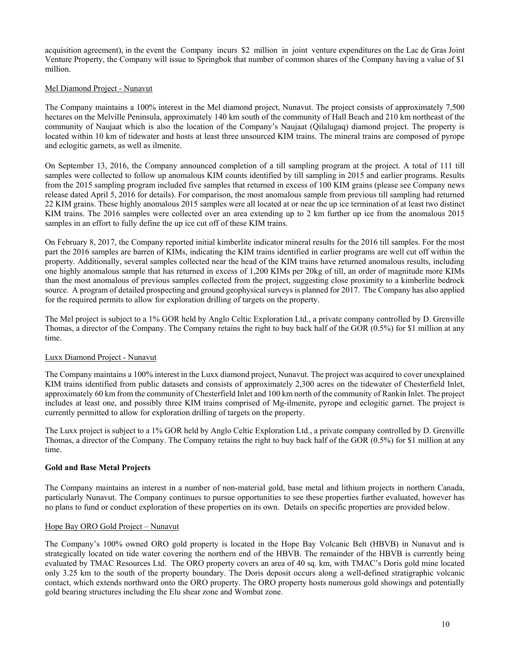acquisition agreement), in the event the Company incurs \$2 million in joint venture expenditures on the Lac de Gras Joint Venture Property, the Company will issue to Springbok that number of common shares of the Company having a value of \$1 million.

## Mel Diamond Project - Nunavut

The Company maintains a 100% interest in the Mel diamond project, Nunavut. The project consists of approximately 7,500 hectares on the Melville Peninsula, approximately 140 km south of the community of Hall Beach and 210 km northeast of the community of Naujaat which is also the location of the Company's Naujaat (Qilalugaq) diamond project. The property is located within 10 km of tidewater and hosts at least three unsourced KIM trains. The mineral trains are composed of pyrope and eclogitic garnets, as well as ilmenite.

On September 13, 2016, the Company announced completion of a till sampling program at the project. A total of 111 till samples were collected to follow up anomalous KIM counts identified by till sampling in 2015 and earlier programs. Results from the 2015 sampling program included five samples that returned in excess of 100 KIM grains (please see Company news release dated April 5, 2016 for details). For comparison, the most anomalous sample from previous till sampling had returned 22 KIM grains. These highly anomalous 2015 samples were all located at or near the up ice termination of at least two distinct KIM trains. The 2016 samples were collected over an area extending up to 2 km further up ice from the anomalous 2015 samples in an effort to fully define the up ice cut off of these KIM trains.

On February 8, 2017, the Company reported initial kimberlite indicator mineral results for the 2016 till samples. For the most part the 2016 samples are barren of KIMs, indicating the KIM trains identified in earlier programs are well cut off within the property. Additionally, several samples collected near the head of the KIM trains have returned anomalous results, including one highly anomalous sample that has returned in excess of 1,200 KIMs per 20kg of till, an order of magnitude more KIMs than the most anomalous of previous samples collected from the project, suggesting close proximity to a kimberlite bedrock source. A program of detailed prospecting and ground geophysical surveys is planned for 2017. The Company has also applied for the required permits to allow for exploration drilling of targets on the property.

The Mel project is subject to a 1% GOR held by Anglo Celtic Exploration Ltd., a private company controlled by D. Grenville Thomas, a director of the Company. The Company retains the right to buy back half of the GOR (0.5%) for \$1 million at any time.

#### Luxx Diamond Project - Nunavut

The Company maintains a 100% interest in the Luxx diamond project, Nunavut. The project was acquired to cover unexplained KIM trains identified from public datasets and consists of approximately 2,300 acres on the tidewater of Chesterfield Inlet, approximately 60 km from the community of Chesterfield Inlet and 100 km north of the community of Rankin Inlet. The project includes at least one, and possibly three KIM trains comprised of Mg-ilmenite, pyrope and eclogitic garnet. The project is currently permitted to allow for exploration drilling of targets on the property.

The Luxx project is subject to a 1% GOR held by Anglo Celtic Exploration Ltd., a private company controlled by D. Grenville Thomas, a director of the Company. The Company retains the right to buy back half of the GOR (0.5%) for \$1 million at any time.

#### **Gold and Base Metal Projects**

The Company maintains an interest in a number of non-material gold, base metal and lithium projects in northern Canada, particularly Nunavut. The Company continues to pursue opportunities to see these properties further evaluated, however has no plans to fund or conduct exploration of these properties on its own. Details on specific properties are provided below.

#### Hope Bay ORO Gold Project – Nunavut

The Company's 100% owned ORO gold property is located in the Hope Bay Volcanic Belt (HBVB) in Nunavut and is strategically located on tide water covering the northern end of the HBVB. The remainder of the HBVB is currently being evaluated by TMAC Resources Ltd. The ORO property covers an area of 40 sq. km, with TMAC's Doris gold mine located only 3.25 km to the south of the property boundary. The Doris deposit occurs along a well-defined stratigraphic volcanic contact, which extends northward onto the ORO property. The ORO property hosts numerous gold showings and potentially gold bearing structures including the Elu shear zone and Wombat zone.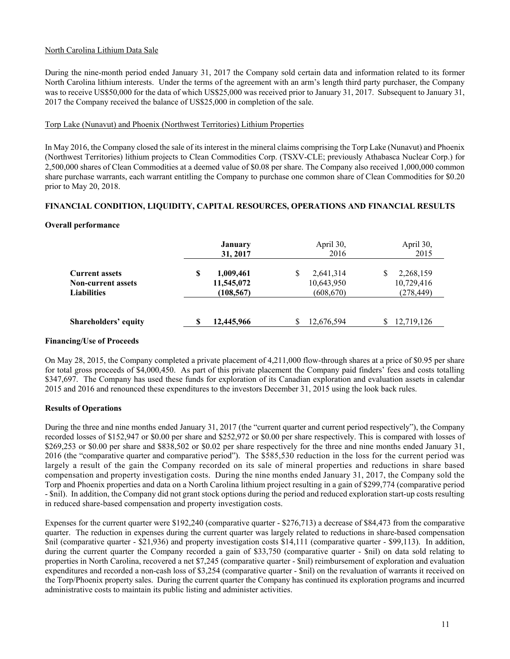# North Carolina Lithium Data Sale

During the nine-month period ended January 31, 2017 the Company sold certain data and information related to its former North Carolina lithium interests. Under the terms of the agreement with an arm's length third party purchaser, the Company was to receive US\$50,000 for the data of which US\$25,000 was received prior to January 31, 2017. Subsequent to January 31, 2017 the Company received the balance of US\$25,000 in completion of the sale.

# Torp Lake (Nunavut) and Phoenix (Northwest Territories) Lithium Properties

In May 2016, the Company closed the sale of its interest in the mineral claims comprising the Torp Lake (Nunavut) and Phoenix (Northwest Territories) lithium projects to Clean Commodities Corp. (TSXV-CLE; previously Athabasca Nuclear Corp.) for 2,500,000 shares of Clean Commodities at a deemed value of \$0.08 per share. The Company also received 1,000,000 common share purchase warrants, each warrant entitling the Company to purchase one common share of Clean Commodities for \$0.20 prior to May 20, 2018.

# **FINANCIAL CONDITION, LIQUIDITY, CAPITAL RESOURCES, OPERATIONS AND FINANCIAL RESULTS**

# **Overall performance**

|                                                                          |   | <b>January</b><br>31, 2017            |   | April 30,<br>2016                     | April 30,<br>2015                     |
|--------------------------------------------------------------------------|---|---------------------------------------|---|---------------------------------------|---------------------------------------|
| <b>Current assets</b><br><b>Non-current assets</b><br><b>Liabilities</b> | S | 1,009,461<br>11,545,072<br>(108, 567) | S | 2,641,314<br>10,643,950<br>(608, 670) | 2,268,159<br>10,729,416<br>(278, 449) |
| Shareholders' equity                                                     |   | 12,445,966                            |   | 12,676,594                            | 12,719,126                            |

# **Financing/Use of Proceeds**

On May 28, 2015, the Company completed a private placement of 4,211,000 flow-through shares at a price of \$0.95 per share for total gross proceeds of \$4,000,450. As part of this private placement the Company paid finders' fees and costs totalling \$347,697. The Company has used these funds for exploration of its Canadian exploration and evaluation assets in calendar 2015 and 2016 and renounced these expenditures to the investors December 31, 2015 using the look back rules.

# **Results of Operations**

During the three and nine months ended January 31, 2017 (the "current quarter and current period respectively"), the Company recorded losses of \$152,947 or \$0.00 per share and \$252,972 or \$0.00 per share respectively. This is compared with losses of \$269,253 or \$0.00 per share and \$838,502 or \$0.02 per share respectively for the three and nine months ended January 31, 2016 (the "comparative quarter and comparative period"). The \$585,530 reduction in the loss for the current period was largely a result of the gain the Company recorded on its sale of mineral properties and reductions in share based compensation and property investigation costs. During the nine months ended January 31, 2017, the Company sold the Torp and Phoenix properties and data on a North Carolina lithium project resulting in a gain of \$299,774 (comparative period - \$nil). In addition, the Company did not grant stock options during the period and reduced exploration start-up costs resulting in reduced share-based compensation and property investigation costs.

Expenses for the current quarter were \$192,240 (comparative quarter - \$276,713) a decrease of \$84,473 from the comparative quarter. The reduction in expenses during the current quarter was largely related to reductions in share-based compensation \$nil (comparative quarter - \$21,936) and property investigation costs \$14,111 (comparative quarter - \$99,113). In addition, during the current quarter the Company recorded a gain of \$33,750 (comparative quarter - \$nil) on data sold relating to properties in North Carolina, recovered a net \$7,245 (comparative quarter - \$nil) reimbursement of exploration and evaluation expenditures and recorded a non-cash loss of \$3,254 (comparative quarter - \$nil) on the revaluation of warrants it received on the Torp/Phoenix property sales. During the current quarter the Company has continued its exploration programs and incurred administrative costs to maintain its public listing and administer activities.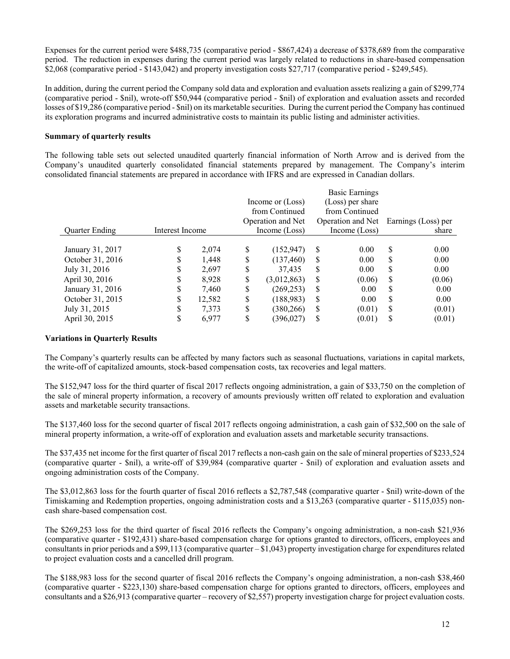Expenses for the current period were \$488,735 (comparative period - \$867,424) a decrease of \$378,689 from the comparative period. The reduction in expenses during the current period was largely related to reductions in share-based compensation \$2,068 (comparative period - \$143,042) and property investigation costs \$27,717 (comparative period - \$249,545).

In addition, during the current period the Company sold data and exploration and evaluation assets realizing a gain of \$299,774 (comparative period - \$nil), wrote-off \$50,944 (comparative period - \$nil) of exploration and evaluation assets and recorded losses of \$19,286 (comparative period - \$nil) on its marketable securities. During the current period the Company has continued its exploration programs and incurred administrative costs to maintain its public listing and administer activities.

## **Summary of quarterly results**

The following table sets out selected unaudited quarterly financial information of North Arrow and is derived from the Company's unaudited quarterly consolidated financial statements prepared by management. The Company's interim consolidated financial statements are prepared in accordance with IFRS and are expressed in Canadian dollars.

|                       |                 |        |    |                   |               | Basic Earnings    |               |                     |
|-----------------------|-----------------|--------|----|-------------------|---------------|-------------------|---------------|---------------------|
|                       |                 |        |    | Income or (Loss)  |               | (Loss) per share  |               |                     |
|                       |                 |        |    | from Continued    |               | from Continued    |               |                     |
|                       |                 |        |    | Operation and Net |               | Operation and Net |               | Earnings (Loss) per |
| <b>Ouarter Ending</b> | Interest Income |        |    | Income (Loss)     |               | Income (Loss)     |               | share               |
|                       |                 |        |    |                   |               |                   |               |                     |
| January 31, 2017      | \$              | 2.074  | S  | (152, 947)        | S             | 0.00              | S             | 0.00                |
| October 31, 2016      | \$              | 1.448  | \$ | (137, 460)        | S             | 0.00              | S             | 0.00                |
| July 31, 2016         | \$              | 2.697  | S  | 37.435            | <sup>S</sup>  | 0.00              | S             | 0.00                |
| April 30, 2016        | \$              | 8.928  | \$ | (3,012,863)       | <sup>\$</sup> | (0.06)            | S             | (0.06)              |
| January 31, 2016      | \$              | 7.460  | \$ | (269, 253)        | S             | 0.00              | S             | 0.00                |
| October 31, 2015      | \$              | 12,582 | S  | (188, 983)        | <sup>S</sup>  | 0.00              | <sup>\$</sup> | 0.00                |
| July 31, 2015         | \$              | 7,373  | \$ | (380, 266)        | <sup>S</sup>  | (0.01)            | S             | (0.01)              |
| April 30, 2015        | \$              | 6,977  | \$ | (396,027)         | S             | (0.01)            | S             | (0.01)              |

# **Variations in Quarterly Results**

The Company's quarterly results can be affected by many factors such as seasonal fluctuations, variations in capital markets, the write-off of capitalized amounts, stock-based compensation costs, tax recoveries and legal matters.

The \$152,947 loss for the third quarter of fiscal 2017 reflects ongoing administration, a gain of \$33,750 on the completion of the sale of mineral property information, a recovery of amounts previously written off related to exploration and evaluation assets and marketable security transactions.

The \$137,460 loss for the second quarter of fiscal 2017 reflects ongoing administration, a cash gain of \$32,500 on the sale of mineral property information, a write-off of exploration and evaluation assets and marketable security transactions.

The \$37,435 net income for the first quarter of fiscal 2017 reflects a non-cash gain on the sale of mineral properties of \$233,524 (comparative quarter - \$nil), a write-off of \$39,984 (comparative quarter - \$nil) of exploration and evaluation assets and ongoing administration costs of the Company.

The \$3,012,863 loss for the fourth quarter of fiscal 2016 reflects a \$2,787,548 (comparative quarter - \$nil) write-down of the Timiskaming and Redemption properties, ongoing administration costs and a \$13,263 (comparative quarter - \$115,035) noncash share-based compensation cost.

The \$269,253 loss for the third quarter of fiscal 2016 reflects the Company's ongoing administration, a non-cash \$21,936 (comparative quarter - \$192,431) share-based compensation charge for options granted to directors, officers, employees and consultants in prior periods and a \$99,113 (comparative quarter – \$1,043) property investigation charge for expenditures related to project evaluation costs and a cancelled drill program.

The \$188,983 loss for the second quarter of fiscal 2016 reflects the Company's ongoing administration, a non-cash \$38,460 (comparative quarter - \$223,130) share-based compensation charge for options granted to directors, officers, employees and consultants and a \$26,913 (comparative quarter – recovery of \$2,557) property investigation charge for project evaluation costs.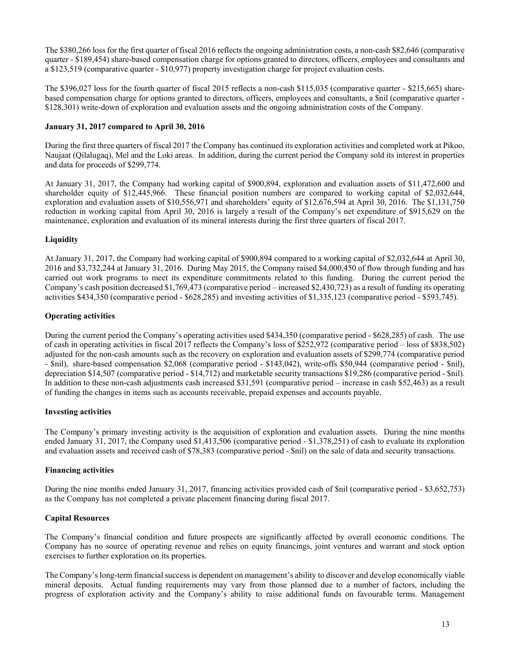The \$380,266 loss for the first quarter of fiscal 2016 reflects the ongoing administration costs, a non-cash \$82,646 (comparative quarter - \$189,454) share-based compensation charge for options granted to directors, officers, employees and consultants and a \$123,519 (comparative quarter - \$10,977) property investigation charge for project evaluation costs.

The \$396,027 loss for the fourth quarter of fiscal 2015 reflects a non-cash \$115,035 (comparative quarter - \$215,665) sharebased compensation charge for options granted to directors, officers, employees and consultants, a \$nil (comparative quarter - \$128,301) write-down of exploration and evaluation assets and the ongoing administration costs of the Company.

## **January 31, 2017 compared to April 30, 2016**

During the first three quarters of fiscal 2017 the Company has continued its exploration activities and completed work at Pikoo, Naujaat (Qilalugaq), Mel and the Loki areas. In addition, during the current period the Company sold its interest in properties and data for proceeds of \$299,774.

At January 31, 2017, the Company had working capital of \$900,894, exploration and evaluation assets of \$11,472,600 and shareholder equity of \$12,445,966. These financial position numbers are compared to working capital of \$2,032,644, exploration and evaluation assets of \$10,556,971 and shareholders' equity of \$12,676,594 at April 30, 2016. The \$1,131,750 reduction in working capital from April 30, 2016 is largely a result of the Company's net expenditure of \$915,629 on the maintenance, exploration and evaluation of its mineral interests during the first three quarters of fiscal 2017.

# **Liquidity**

At January 31, 2017, the Company had working capital of \$900,894 compared to a working capital of \$2,032,644 at April 30, 2016 and \$3,732,244 at January 31, 2016. During May 2015, the Company raised \$4,000,450 of flow through funding and has carried out work programs to meet its expenditure commitments related to this funding. During the current period the Company's cash position decreased \$1,769,473 (comparative period – increased \$2,430,723) as a result of funding its operating activities \$434,350 (comparative period - \$628,285) and investing activities of \$1,335,123 (comparative period - \$593,745).

## **Operating activities**

During the current period the Company's operating activities used \$434,350 (comparative period - \$628,285) of cash. The use of cash in operating activities in fiscal 2017 reflects the Company's loss of \$252,972 (comparative period – loss of \$838,502) adjusted for the non-cash amounts such as the recovery on exploration and evaluation assets of \$299,774 (comparative period - \$nil), share-based compensation \$2,068 (comparative period - \$143,042), write-offs \$50,944 (comparative period - \$nil), depreciation \$14,507 (comparative period - \$14,712) and marketable security transactions \$19,286 (comparative period - \$nil). In addition to these non-cash adjustments cash increased \$31,591 (comparative period – increase in cash \$52,463) as a result of funding the changes in items such as accounts receivable, prepaid expenses and accounts payable.

### **Investing activities**

The Company's primary investing activity is the acquisition of exploration and evaluation assets. During the nine months ended January 31, 2017, the Company used \$1,413,506 (comparative period - \$1,378,251) of cash to evaluate its exploration and evaluation assets and received cash of \$78,383 (comparative period - \$nil) on the sale of data and security transactions.

#### **Financing activities**

During the nine months ended January 31, 2017, financing activities provided cash of \$nil (comparative period - \$3,652,753) as the Company has not completed a private placement financing during fiscal 2017.

# **Capital Resources**

The Company's financial condition and future prospects are significantly affected by overall economic conditions. The Company has no source of operating revenue and relies on equity financings, joint ventures and warrant and stock option exercises to further exploration on its properties.

The Company's long-term financial success is dependent on management's ability to discover and develop economically viable mineral deposits. Actual funding requirements may vary from those planned due to a number of factors, including the progress of exploration activity and the Company's ability to raise additional funds on favourable terms. Management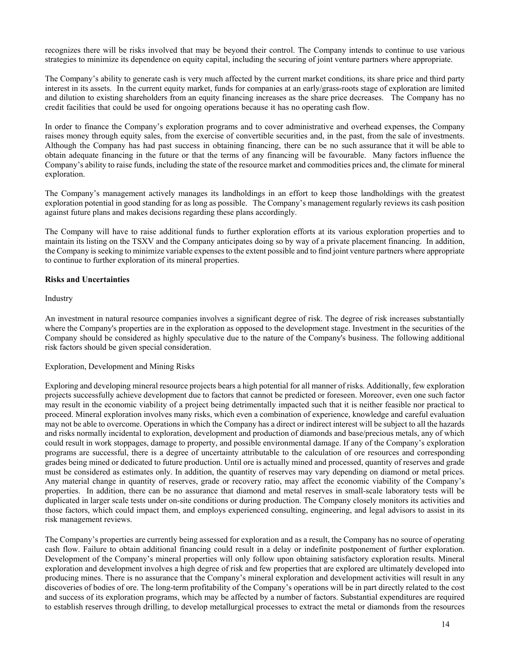recognizes there will be risks involved that may be beyond their control. The Company intends to continue to use various strategies to minimize its dependence on equity capital, including the securing of joint venture partners where appropriate.

The Company's ability to generate cash is very much affected by the current market conditions, its share price and third party interest in its assets. In the current equity market, funds for companies at an early/grass-roots stage of exploration are limited and dilution to existing shareholders from an equity financing increases as the share price decreases. The Company has no credit facilities that could be used for ongoing operations because it has no operating cash flow.

In order to finance the Company's exploration programs and to cover administrative and overhead expenses, the Company raises money through equity sales, from the exercise of convertible securities and, in the past, from the sale of investments. Although the Company has had past success in obtaining financing, there can be no such assurance that it will be able to obtain adequate financing in the future or that the terms of any financing will be favourable. Many factors influence the Company's ability to raise funds, including the state of the resource market and commodities prices and, the climate for mineral exploration.

The Company's management actively manages its landholdings in an effort to keep those landholdings with the greatest exploration potential in good standing for as long as possible. The Company's management regularly reviews its cash position against future plans and makes decisions regarding these plans accordingly.

The Company will have to raise additional funds to further exploration efforts at its various exploration properties and to maintain its listing on the TSXV and the Company anticipates doing so by way of a private placement financing. In addition, the Company is seeking to minimize variable expenses to the extent possible and to find joint venture partners where appropriate to continue to further exploration of its mineral properties.

## **Risks and Uncertainties**

#### Industry

An investment in natural resource companies involves a significant degree of risk. The degree of risk increases substantially where the Company's properties are in the exploration as opposed to the development stage. Investment in the securities of the Company should be considered as highly speculative due to the nature of the Company's business. The following additional risk factors should be given special consideration.

#### Exploration, Development and Mining Risks

Exploring and developing mineral resource projects bears a high potential for all manner of risks. Additionally, few exploration projects successfully achieve development due to factors that cannot be predicted or foreseen. Moreover, even one such factor may result in the economic viability of a project being detrimentally impacted such that it is neither feasible nor practical to proceed. Mineral exploration involves many risks, which even a combination of experience, knowledge and careful evaluation may not be able to overcome. Operations in which the Company has a direct or indirect interest will be subject to all the hazards and risks normally incidental to exploration, development and production of diamonds and base/precious metals, any of which could result in work stoppages, damage to property, and possible environmental damage. If any of the Company's exploration programs are successful, there is a degree of uncertainty attributable to the calculation of ore resources and corresponding grades being mined or dedicated to future production. Until ore is actually mined and processed, quantity of reserves and grade must be considered as estimates only. In addition, the quantity of reserves may vary depending on diamond or metal prices. Any material change in quantity of reserves, grade or recovery ratio, may affect the economic viability of the Company's properties. In addition, there can be no assurance that diamond and metal reserves in small-scale laboratory tests will be duplicated in larger scale tests under on-site conditions or during production. The Company closely monitors its activities and those factors, which could impact them, and employs experienced consulting, engineering, and legal advisors to assist in its risk management reviews.

The Company's properties are currently being assessed for exploration and as a result, the Company has no source of operating cash flow. Failure to obtain additional financing could result in a delay or indefinite postponement of further exploration. Development of the Company's mineral properties will only follow upon obtaining satisfactory exploration results. Mineral exploration and development involves a high degree of risk and few properties that are explored are ultimately developed into producing mines. There is no assurance that the Company's mineral exploration and development activities will result in any discoveries of bodies of ore. The long-term profitability of the Company's operations will be in part directly related to the cost and success of its exploration programs, which may be affected by a number of factors. Substantial expenditures are required to establish reserves through drilling, to develop metallurgical processes to extract the metal or diamonds from the resources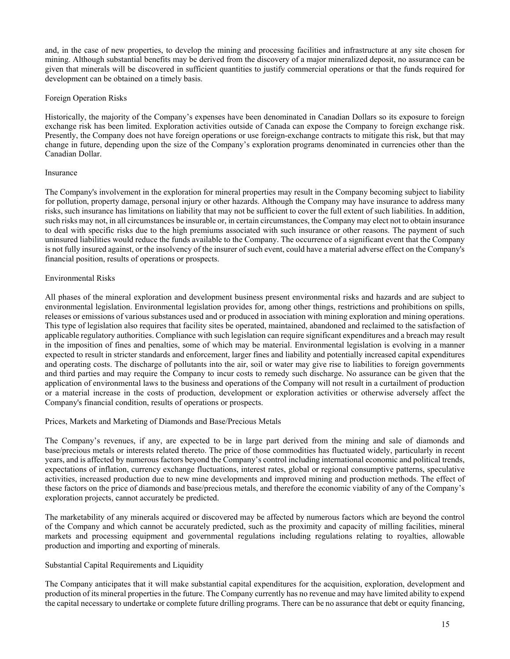and, in the case of new properties, to develop the mining and processing facilities and infrastructure at any site chosen for mining. Although substantial benefits may be derived from the discovery of a major mineralized deposit, no assurance can be given that minerals will be discovered in sufficient quantities to justify commercial operations or that the funds required for development can be obtained on a timely basis.

# Foreign Operation Risks

Historically, the majority of the Company's expenses have been denominated in Canadian Dollars so its exposure to foreign exchange risk has been limited. Exploration activities outside of Canada can expose the Company to foreign exchange risk. Presently, the Company does not have foreign operations or use foreign-exchange contracts to mitigate this risk, but that may change in future, depending upon the size of the Company's exploration programs denominated in currencies other than the Canadian Dollar.

#### Insurance

The Company's involvement in the exploration for mineral properties may result in the Company becoming subject to liability for pollution, property damage, personal injury or other hazards. Although the Company may have insurance to address many risks, such insurance has limitations on liability that may not be sufficient to cover the full extent of such liabilities. In addition, such risks may not, in all circumstances be insurable or, in certain circumstances, the Company may elect not to obtain insurance to deal with specific risks due to the high premiums associated with such insurance or other reasons. The payment of such uninsured liabilities would reduce the funds available to the Company. The occurrence of a significant event that the Company is not fully insured against, or the insolvency of the insurer of such event, could have a material adverse effect on the Company's financial position, results of operations or prospects.

## Environmental Risks

All phases of the mineral exploration and development business present environmental risks and hazards and are subject to environmental legislation. Environmental legislation provides for, among other things, restrictions and prohibitions on spills, releases or emissions of various substances used and or produced in association with mining exploration and mining operations. This type of legislation also requires that facility sites be operated, maintained, abandoned and reclaimed to the satisfaction of applicable regulatory authorities. Compliance with such legislation can require significant expenditures and a breach may result in the imposition of fines and penalties, some of which may be material. Environmental legislation is evolving in a manner expected to result in stricter standards and enforcement, larger fines and liability and potentially increased capital expenditures and operating costs. The discharge of pollutants into the air, soil or water may give rise to liabilities to foreign governments and third parties and may require the Company to incur costs to remedy such discharge. No assurance can be given that the application of environmental laws to the business and operations of the Company will not result in a curtailment of production or a material increase in the costs of production, development or exploration activities or otherwise adversely affect the Company's financial condition, results of operations or prospects.

# Prices, Markets and Marketing of Diamonds and Base/Precious Metals

The Company's revenues, if any, are expected to be in large part derived from the mining and sale of diamonds and base/precious metals or interests related thereto. The price of those commodities has fluctuated widely, particularly in recent years, and is affected by numerous factors beyond the Company's control including international economic and political trends, expectations of inflation, currency exchange fluctuations, interest rates, global or regional consumptive patterns, speculative activities, increased production due to new mine developments and improved mining and production methods. The effect of these factors on the price of diamonds and base/precious metals, and therefore the economic viability of any of the Company's exploration projects, cannot accurately be predicted.

The marketability of any minerals acquired or discovered may be affected by numerous factors which are beyond the control of the Company and which cannot be accurately predicted, such as the proximity and capacity of milling facilities, mineral markets and processing equipment and governmental regulations including regulations relating to royalties, allowable production and importing and exporting of minerals.

# Substantial Capital Requirements and Liquidity

The Company anticipates that it will make substantial capital expenditures for the acquisition, exploration, development and production of its mineral properties in the future. The Company currently has no revenue and may have limited ability to expend the capital necessary to undertake or complete future drilling programs. There can be no assurance that debt or equity financing,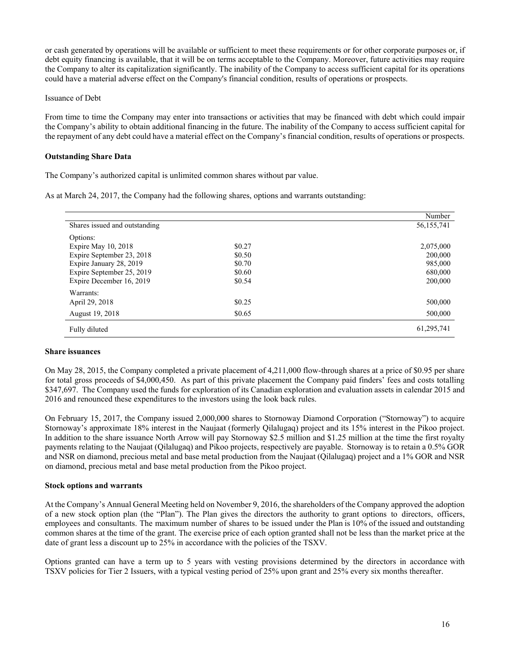or cash generated by operations will be available or sufficient to meet these requirements or for other corporate purposes or, if debt equity financing is available, that it will be on terms acceptable to the Company. Moreover, future activities may require the Company to alter its capitalization significantly. The inability of the Company to access sufficient capital for its operations could have a material adverse effect on the Company's financial condition, results of operations or prospects.

## Issuance of Debt

From time to time the Company may enter into transactions or activities that may be financed with debt which could impair the Company's ability to obtain additional financing in the future. The inability of the Company to access sufficient capital for the repayment of any debt could have a material effect on the Company's financial condition, results of operations or prospects.

## **Outstanding Share Data**

The Company's authorized capital is unlimited common shares without par value.

As at March 24, 2017, the Company had the following shares, options and warrants outstanding:

|                               |        | Number     |
|-------------------------------|--------|------------|
| Shares issued and outstanding |        | 56,155,741 |
| Options:                      |        |            |
| Expire May $10, 2018$         | \$0.27 | 2,075,000  |
| Expire September 23, 2018     | \$0.50 | 200,000    |
| Expire January 28, 2019       | \$0.70 | 985,000    |
| Expire September 25, 2019     | \$0.60 | 680,000    |
| Expire December 16, 2019      | \$0.54 | 200,000    |
| Warrants:                     |        |            |
| April 29, 2018                | \$0.25 | 500,000    |
| August 19, 2018               | \$0.65 | 500,000    |
| Fully diluted                 |        | 61,295,741 |

### **Share issuances**

On May 28, 2015, the Company completed a private placement of 4,211,000 flow-through shares at a price of \$0.95 per share for total gross proceeds of \$4,000,450. As part of this private placement the Company paid finders' fees and costs totalling \$347,697. The Company used the funds for exploration of its Canadian exploration and evaluation assets in calendar 2015 and 2016 and renounced these expenditures to the investors using the look back rules.

On February 15, 2017, the Company issued 2,000,000 shares to Stornoway Diamond Corporation ("Stornoway") to acquire Stornoway's approximate 18% interest in the Naujaat (formerly Qilalugaq) project and its 15% interest in the Pikoo project. In addition to the share issuance North Arrow will pay Stornoway \$2.5 million and \$1.25 million at the time the first royalty payments relating to the Naujaat (Qilalugaq) and Pikoo projects, respectively are payable. Stornoway is to retain a 0.5% GOR and NSR on diamond, precious metal and base metal production from the Naujaat (Qilalugaq) project and a 1% GOR and NSR on diamond, precious metal and base metal production from the Pikoo project.

#### **Stock options and warrants**

At the Company's Annual General Meeting held on November 9, 2016, the shareholders of the Company approved the adoption of a new stock option plan (the "Plan"). The Plan gives the directors the authority to grant options to directors, officers, employees and consultants. The maximum number of shares to be issued under the Plan is 10% of the issued and outstanding common shares at the time of the grant. The exercise price of each option granted shall not be less than the market price at the date of grant less a discount up to 25% in accordance with the policies of the TSXV.

Options granted can have a term up to 5 years with vesting provisions determined by the directors in accordance with TSXV policies for Tier 2 Issuers, with a typical vesting period of 25% upon grant and 25% every six months thereafter.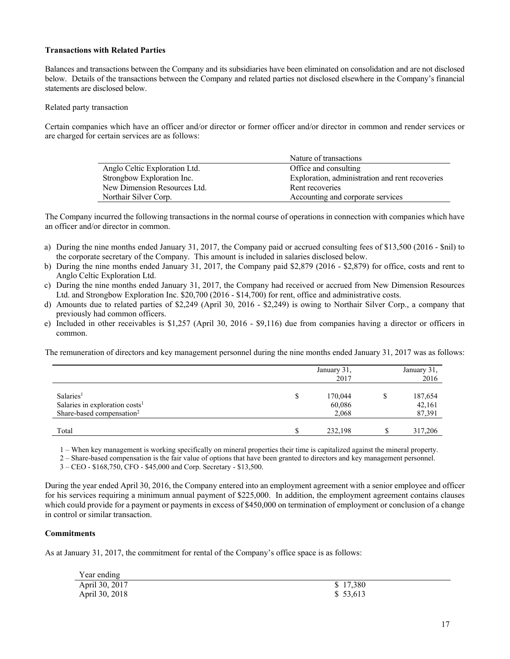# **Transactions with Related Parties**

Balances and transactions between the Company and its subsidiaries have been eliminated on consolidation and are not disclosed below. Details of the transactions between the Company and related parties not disclosed elsewhere in the Company's financial statements are disclosed below.

Related party transaction

Certain companies which have an officer and/or director or former officer and/or director in common and render services or are charged for certain services are as follows:

|                               | Nature of transactions                          |
|-------------------------------|-------------------------------------------------|
| Anglo Celtic Exploration Ltd. | Office and consulting                           |
| Strongbow Exploration Inc.    | Exploration, administration and rent recoveries |
| New Dimension Resources Ltd.  | Rent recoveries                                 |
| Northair Silver Corp.         | Accounting and corporate services               |

The Company incurred the following transactions in the normal course of operations in connection with companies which have an officer and/or director in common.

- a) During the nine months ended January 31, 2017, the Company paid or accrued consulting fees of \$13,500 (2016 \$nil) to the corporate secretary of the Company. This amount is included in salaries disclosed below.
- b) During the nine months ended January 31, 2017, the Company paid \$2,879 (2016 \$2,879) for office, costs and rent to Anglo Celtic Exploration Ltd.
- c) During the nine months ended January 31, 2017, the Company had received or accrued from New Dimension Resources Ltd. and Strongbow Exploration Inc. \$20,700 (2016 - \$14,700) for rent, office and administrative costs.
- d) Amounts due to related parties of \$2,249 (April 30, 2016 \$2,249) is owing to Northair Silver Corp., a company that previously had common officers.
- e) Included in other receivables is \$1,257 (April 30, 2016 \$9,116) due from companies having a director or officers in common.

The remuneration of directors and key management personnel during the nine months ended January 31, 2017 was as follows:

|                                                                                                              |   | January 31,<br>2017        |   | January 31,<br>2016         |
|--------------------------------------------------------------------------------------------------------------|---|----------------------------|---|-----------------------------|
| Salaries <sup>1</sup><br>Salaries in exploration costs <sup>1</sup><br>Share-based compensation <sup>2</sup> | D | 170,044<br>60,086<br>2,068 | S | 187,654<br>42,161<br>87,391 |
| Total                                                                                                        |   | 232,198                    |   | 317,206                     |

1 – When key management is working specifically on mineral properties their time is capitalized against the mineral property.

2 – Share-based compensation is the fair value of options that have been granted to directors and key management personnel.

3 – CEO - \$168,750, CFO - \$45,000 and Corp. Secretary - \$13,500.

During the year ended April 30, 2016, the Company entered into an employment agreement with a senior employee and officer for his services requiring a minimum annual payment of \$225,000. In addition, the employment agreement contains clauses which could provide for a payment or payments in excess of \$450,000 on termination of employment or conclusion of a change in control or similar transaction.

# **Commitments**

As at January 31, 2017, the commitment for rental of the Company's office space is as follows:

| Year ending    |           |
|----------------|-----------|
| April 30, 2017 | \$17,380  |
| April 30, 2018 | \$ 53,613 |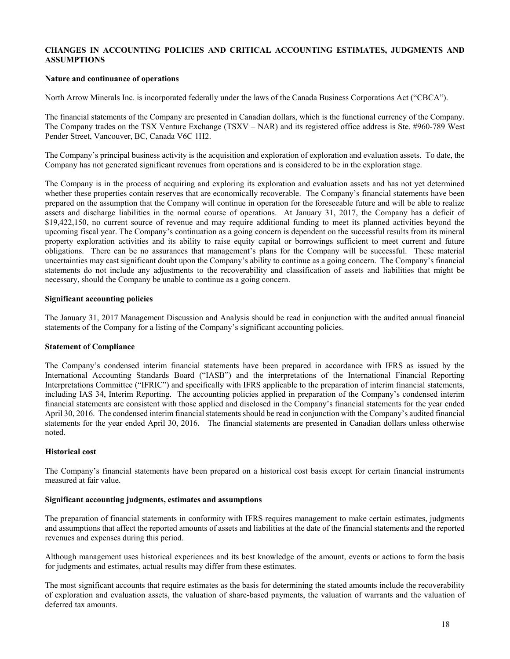## **CHANGES IN ACCOUNTING POLICIES AND CRITICAL ACCOUNTING ESTIMATES, JUDGMENTS AND ASSUMPTIONS**

### **Nature and continuance of operations**

North Arrow Minerals Inc. is incorporated federally under the laws of the Canada Business Corporations Act ("CBCA").

The financial statements of the Company are presented in Canadian dollars, which is the functional currency of the Company. The Company trades on the TSX Venture Exchange (TSXV – NAR) and its registered office address is Ste. #960-789 West Pender Street, Vancouver, BC, Canada V6C 1H2.

The Company's principal business activity is the acquisition and exploration of exploration and evaluation assets. To date, the Company has not generated significant revenues from operations and is considered to be in the exploration stage.

The Company is in the process of acquiring and exploring its exploration and evaluation assets and has not yet determined whether these properties contain reserves that are economically recoverable. The Company's financial statements have been prepared on the assumption that the Company will continue in operation for the foreseeable future and will be able to realize assets and discharge liabilities in the normal course of operations. At January 31, 2017, the Company has a deficit of \$19,422,150, no current source of revenue and may require additional funding to meet its planned activities beyond the upcoming fiscal year. The Company's continuation as a going concern is dependent on the successful results from its mineral property exploration activities and its ability to raise equity capital or borrowings sufficient to meet current and future obligations. There can be no assurances that management's plans for the Company will be successful. These material uncertainties may cast significant doubt upon the Company's ability to continue as a going concern. The Company's financial statements do not include any adjustments to the recoverability and classification of assets and liabilities that might be necessary, should the Company be unable to continue as a going concern.

## **Significant accounting policies**

The January 31, 2017 Management Discussion and Analysis should be read in conjunction with the audited annual financial statements of the Company for a listing of the Company's significant accounting policies.

#### **Statement of Compliance**

The Company's condensed interim financial statements have been prepared in accordance with IFRS as issued by the International Accounting Standards Board ("IASB") and the interpretations of the International Financial Reporting Interpretations Committee ("IFRIC") and specifically with IFRS applicable to the preparation of interim financial statements, including IAS 34, Interim Reporting. The accounting policies applied in preparation of the Company's condensed interim financial statements are consistent with those applied and disclosed in the Company's financial statements for the year ended April 30, 2016. The condensed interim financial statements should be read in conjunction with the Company's audited financial statements for the year ended April 30, 2016. The financial statements are presented in Canadian dollars unless otherwise noted.

#### **Historical cost**

The Company's financial statements have been prepared on a historical cost basis except for certain financial instruments measured at fair value.

## **Significant accounting judgments, estimates and assumptions**

The preparation of financial statements in conformity with IFRS requires management to make certain estimates, judgments and assumptions that affect the reported amounts of assets and liabilities at the date of the financial statements and the reported revenues and expenses during this period.

Although management uses historical experiences and its best knowledge of the amount, events or actions to form the basis for judgments and estimates, actual results may differ from these estimates.

The most significant accounts that require estimates as the basis for determining the stated amounts include the recoverability of exploration and evaluation assets, the valuation of share-based payments, the valuation of warrants and the valuation of deferred tax amounts.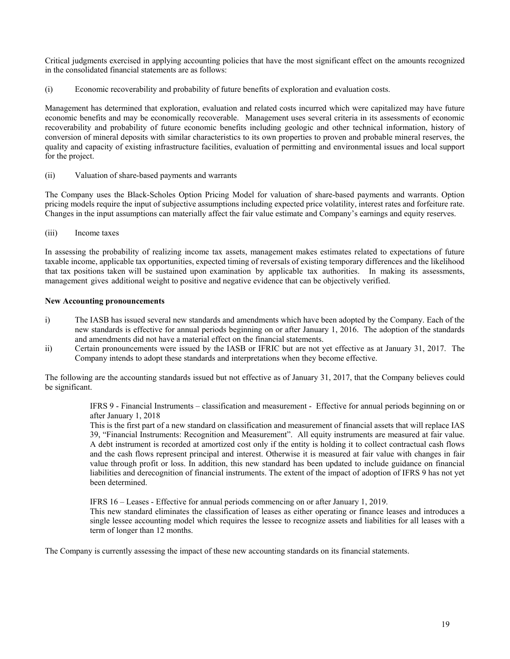Critical judgments exercised in applying accounting policies that have the most significant effect on the amounts recognized in the consolidated financial statements are as follows:

(i) Economic recoverability and probability of future benefits of exploration and evaluation costs.

Management has determined that exploration, evaluation and related costs incurred which were capitalized may have future economic benefits and may be economically recoverable. Management uses several criteria in its assessments of economic recoverability and probability of future economic benefits including geologic and other technical information, history of conversion of mineral deposits with similar characteristics to its own properties to proven and probable mineral reserves, the quality and capacity of existing infrastructure facilities, evaluation of permitting and environmental issues and local support for the project.

(ii) Valuation of share-based payments and warrants

The Company uses the Black-Scholes Option Pricing Model for valuation of share-based payments and warrants. Option pricing models require the input of subjective assumptions including expected price volatility, interest rates and forfeiture rate. Changes in the input assumptions can materially affect the fair value estimate and Company's earnings and equity reserves.

(iii) Income taxes

In assessing the probability of realizing income tax assets, management makes estimates related to expectations of future taxable income, applicable tax opportunities, expected timing of reversals of existing temporary differences and the likelihood that tax positions taken will be sustained upon examination by applicable tax authorities. In making its assessments, management gives additional weight to positive and negative evidence that can be objectively verified.

## **New Accounting pronouncements**

- i) The IASB has issued several new standards and amendments which have been adopted by the Company. Each of the new standards is effective for annual periods beginning on or after January 1, 2016. The adoption of the standards and amendments did not have a material effect on the financial statements.
- ii) Certain pronouncements were issued by the IASB or IFRIC but are not yet effective as at January 31, 2017. The Company intends to adopt these standards and interpretations when they become effective.

The following are the accounting standards issued but not effective as of January 31, 2017, that the Company believes could be significant.

> IFRS 9 - Financial Instruments – classification and measurement - Effective for annual periods beginning on or after January 1, 2018

> This is the first part of a new standard on classification and measurement of financial assets that will replace IAS 39, "Financial Instruments: Recognition and Measurement". All equity instruments are measured at fair value. A debt instrument is recorded at amortized cost only if the entity is holding it to collect contractual cash flows and the cash flows represent principal and interest. Otherwise it is measured at fair value with changes in fair value through profit or loss. In addition, this new standard has been updated to include guidance on financial liabilities and derecognition of financial instruments. The extent of the impact of adoption of IFRS 9 has not yet been determined.

IFRS 16 – Leases - Effective for annual periods commencing on or after January 1, 2019.

This new standard eliminates the classification of leases as either operating or finance leases and introduces a single lessee accounting model which requires the lessee to recognize assets and liabilities for all leases with a term of longer than 12 months.

The Company is currently assessing the impact of these new accounting standards on its financial statements.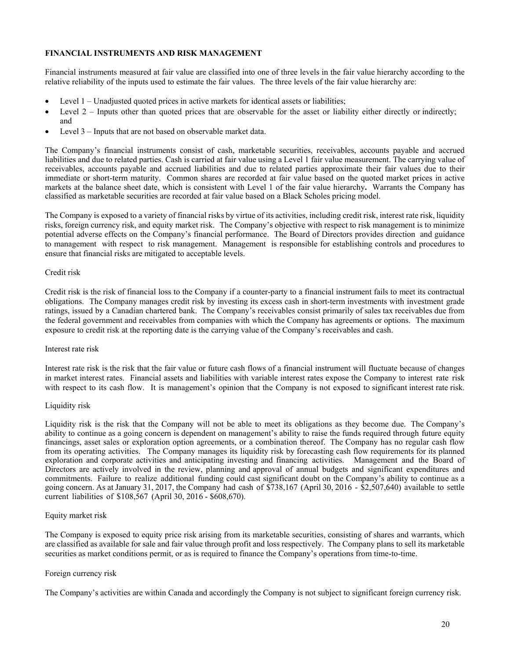## **FINANCIAL INSTRUMENTS AND RISK MANAGEMENT**

Financial instruments measured at fair value are classified into one of three levels in the fair value hierarchy according to the relative reliability of the inputs used to estimate the fair values. The three levels of the fair value hierarchy are:

- Level 1 Unadjusted quoted prices in active markets for identical assets or liabilities;
- Level 2 Inputs other than quoted prices that are observable for the asset or liability either directly or indirectly; and
- Level 3 Inputs that are not based on observable market data.

The Company's financial instruments consist of cash, marketable securities, receivables, accounts payable and accrued liabilities and due to related parties. Cash is carried at fair value using a Level 1 fair value measurement. The carrying value of receivables, accounts payable and accrued liabilities and due to related parties approximate their fair values due to their immediate or short-term maturity. Common shares are recorded at fair value based on the quoted market prices in active markets at the balance sheet date, which is consistent with Level 1 of the fair value hierarchy**.** Warrants the Company has classified as marketable securities are recorded at fair value based on a Black Scholes pricing model.

The Company is exposed to a variety of financial risks by virtue of its activities, including credit risk, interest rate risk, liquidity risks, foreign currency risk, and equity market risk. The Company's objective with respect to risk management is to minimize potential adverse effects on the Company's financial performance. The Board of Directors provides direction and guidance to management with respect to risk management. Management is responsible for establishing controls and procedures to ensure that financial risks are mitigated to acceptable levels.

#### Credit risk

Credit risk is the risk of financial loss to the Company if a counter-party to a financial instrument fails to meet its contractual obligations. The Company manages credit risk by investing its excess cash in short-term investments with investment grade ratings, issued by a Canadian chartered bank. The Company's receivables consist primarily of sales tax receivables due from the federal government and receivables from companies with which the Company has agreements or options. The maximum exposure to credit risk at the reporting date is the carrying value of the Company's receivables and cash.

#### Interest rate risk

Interest rate risk is the risk that the fair value or future cash flows of a financial instrument will fluctuate because of changes in market interest rates. Financial assets and liabilities with variable interest rates expose the Company to interest rate risk with respect to its cash flow. It is management's opinion that the Company is not exposed to significant interest rate risk.

#### Liquidity risk

Liquidity risk is the risk that the Company will not be able to meet its obligations as they become due. The Company's ability to continue as a going concern is dependent on management's ability to raise the funds required through future equity financings, asset sales or exploration option agreements, or a combination thereof. The Company has no regular cash flow from its operating activities. The Company manages its liquidity risk by forecasting cash flow requirements for its planned exploration and corporate activities and anticipating investing and financing activities. Management and the Board of Directors are actively involved in the review, planning and approval of annual budgets and significant expenditures and commitments. Failure to realize additional funding could cast significant doubt on the Company's ability to continue as a going concern. As at January 31, 2017, the Company had cash of \$738,167 (April 30, 2016 - \$2,507,640) available to settle current liabilities of \$108,567 (April 30, 2016 - \$608,670).

#### Equity market risk

The Company is exposed to equity price risk arising from its marketable securities, consisting of shares and warrants, which are classified as available for sale and fair value through profit and loss respectively. The Company plans to sell its marketable securities as market conditions permit, or as is required to finance the Company's operations from time-to-time.

#### Foreign currency risk

The Company's activities are within Canada and accordingly the Company is not subject to significant foreign currency risk.